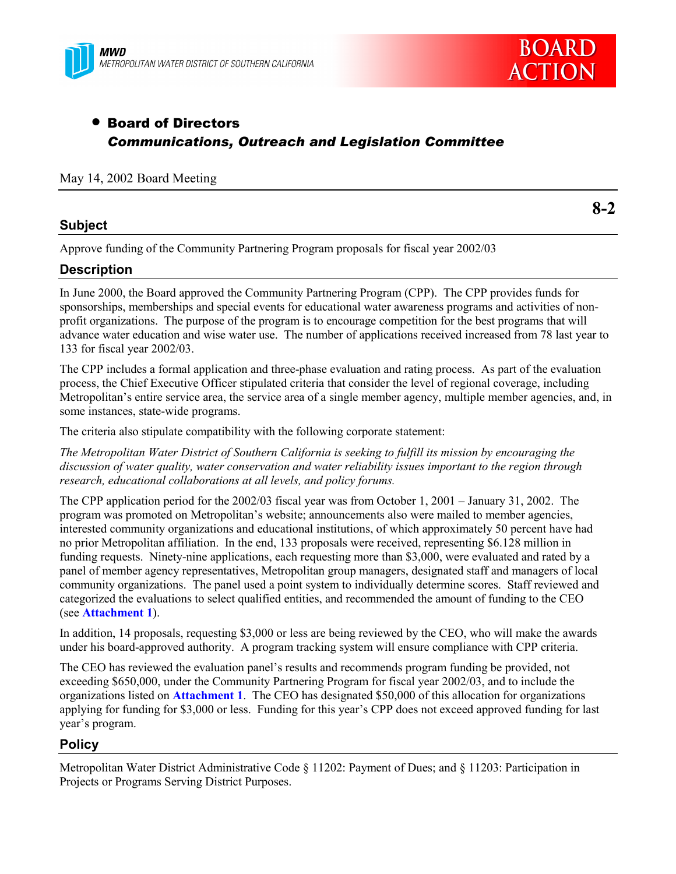



### • Board of Directors *Communications, Outreach and Legislation Committee*

#### May 14, 2002 Board Meeting

#### **Subject**

**8-2**

Approve funding of the Community Partnering Program proposals for fiscal year 2002/03

#### **Description**

In June 2000, the Board approved the Community Partnering Program (CPP). The CPP provides funds for sponsorships, memberships and special events for educational water awareness programs and activities of nonprofit organizations. The purpose of the program is to encourage competition for the best programs that will advance water education and wise water use. The number of applications received increased from 78 last year to 133 for fiscal year 2002/03.

The CPP includes a formal application and three-phase evaluation and rating process. As part of the evaluation process, the Chief Executive Officer stipulated criteria that consider the level of regional coverage, including Metropolitan's entire service area, the service area of a single member agency, multiple member agencies, and, in some instances, state-wide programs.

The criteria also stipulate compatibility with the following corporate statement:

*The Metropolitan Water District of Southern California is seeking to fulfill its mission by encouraging the discussion of water quality, water conservation and water reliability issues important to the region through research, educational collaborations at all levels, and policy forums.*

The CPP application period for the 2002/03 fiscal year was from October 1, 2001 – January 31, 2002. The program was promoted on Metropolitan's website; announcements also were mailed to member agencies, interested community organizations and educational institutions, of which approximately 50 percent have had no prior Metropolitan affiliation. In the end, 133 proposals were received, representing \$6.128 million in funding requests. Ninety-nine applications, each requesting more than \$3,000, were evaluated and rated by a panel of member agency representatives, Metropolitan group managers, designated staff and managers of local community organizations. The panel used a point system to individually determine scores. Staff reviewed and categorized the evaluations to select qualified entities, and recommended the amount of funding to the CEO (see **Attachment 1**).

In addition, 14 proposals, requesting \$3,000 or less are being reviewed by the CEO, who will make the awards under his board-approved authority. A program tracking system will ensure compliance with CPP criteria.

The CEO has reviewed the evaluation panel's results and recommends program funding be provided, not exceeding \$650,000, under the Community Partnering Program for fiscal year 2002/03, and to include the organizations listed on **Attachment 1**. The CEO has designated \$50,000 of this allocation for organizations applying for funding for \$3,000 or less. Funding for this year's CPP does not exceed approved funding for last year's program.

#### **Policy**

Metropolitan Water District Administrative Code § 11202: Payment of Dues; and § 11203: Participation in Projects or Programs Serving District Purposes.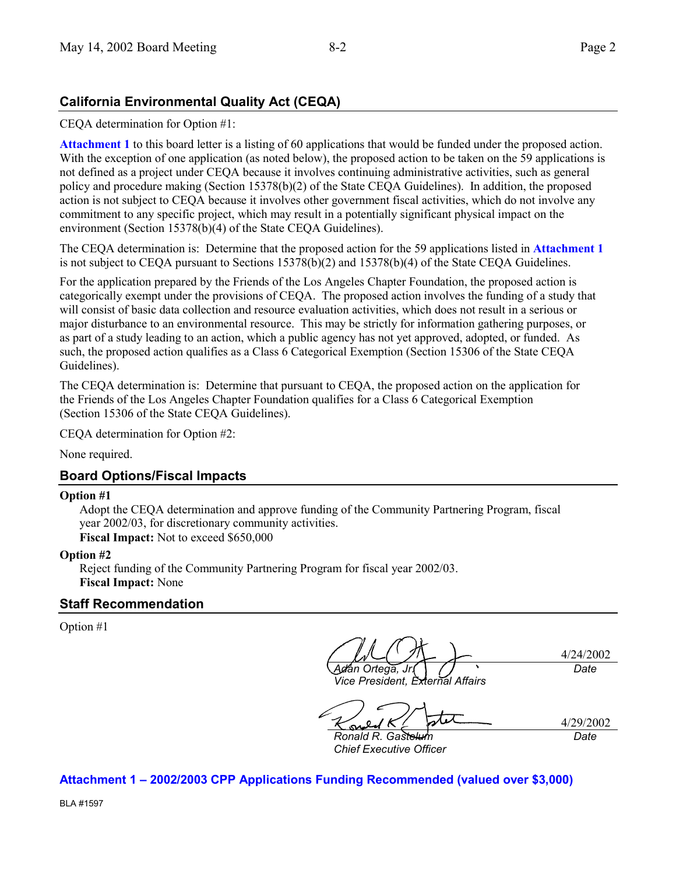#### **California Environmental Quality Act (CEQA)**

CEQA determination for Option #1:

**Attachment 1** to this board letter is a listing of 60 applications that would be funded under the proposed action. With the exception of one application (as noted below), the proposed action to be taken on the 59 applications is not defined as a project under CEQA because it involves continuing administrative activities, such as general policy and procedure making (Section 15378(b)(2) of the State CEQA Guidelines). In addition, the proposed action is not subject to CEQA because it involves other government fiscal activities, which do not involve any commitment to any specific project, which may result in a potentially significant physical impact on the environment (Section 15378(b)(4) of the State CEQA Guidelines).

The CEQA determination is: Determine that the proposed action for the 59 applications listed in **Attachment 1** is not subject to CEQA pursuant to Sections 15378(b)(2) and 15378(b)(4) of the State CEQA Guidelines.

For the application prepared by the Friends of the Los Angeles Chapter Foundation, the proposed action is categorically exempt under the provisions of CEQA. The proposed action involves the funding of a study that will consist of basic data collection and resource evaluation activities, which does not result in a serious or major disturbance to an environmental resource. This may be strictly for information gathering purposes, or as part of a study leading to an action, which a public agency has not yet approved, adopted, or funded. As such, the proposed action qualifies as a Class 6 Categorical Exemption (Section 15306 of the State CEQA Guidelines).

The CEQA determination is: Determine that pursuant to CEQA, the proposed action on the application for the Friends of the Los Angeles Chapter Foundation qualifies for a Class 6 Categorical Exemption (Section 15306 of the State CEQA Guidelines).

CEQA determination for Option #2:

None required.

#### **Board Options/Fiscal Impacts**

#### **Option #1**

Adopt the CEQA determination and approve funding of the Community Partnering Program, fiscal year 2002/03, for discretionary community activities. **Fiscal Impact:** Not to exceed \$650,000

#### **Option #2**

Reject funding of the Community Partnering Program for fiscal year 2002/03. **Fiscal Impact:** None

#### **Staff Recommendation**

Option #1

4/24/2002 *Adán Ortega, Jr. Date*

*Vice President, External Affairs*

4/29/2002 *Date*

**Ronald R. Gaste** *Chief Executive Officer*

**Attachment 1 – 2002/2003 CPP Applications Funding Recommended (valued over \$3,000)**

BLA #1597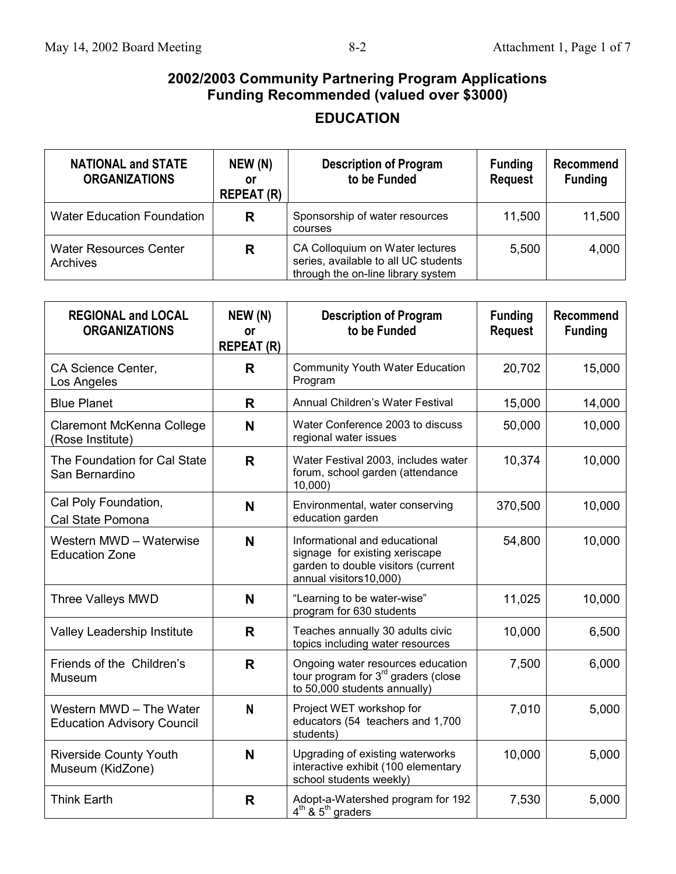# **EDUCATION**

| <b>NATIONAL and STATE</b><br><b>ORGANIZATIONS</b> | NEW (N)<br>or<br><b>REPEAT (R)</b> | <b>Description of Program</b><br>to be Funded                                                                 | <b>Funding</b><br><b>Request</b> | Recommend<br><b>Funding</b> |
|---------------------------------------------------|------------------------------------|---------------------------------------------------------------------------------------------------------------|----------------------------------|-----------------------------|
| <b>Water Education Foundation</b>                 | R                                  | Sponsorship of water resources<br>courses                                                                     | 11,500                           | 11,500                      |
| <b>Water Resources Center</b><br>Archives         | R                                  | CA Colloquium on Water lectures<br>series, available to all UC students<br>through the on-line library system | 5,500                            | 4,000                       |

| <b>REGIONAL and LOCAL</b><br><b>ORGANIZATIONS</b>            | NEW (N)<br>or<br><b>REPEAT (R)</b> | <b>Description of Program</b><br>to be Funded                                                                                   | <b>Funding</b><br><b>Request</b> | <b>Recommend</b><br><b>Funding</b> |
|--------------------------------------------------------------|------------------------------------|---------------------------------------------------------------------------------------------------------------------------------|----------------------------------|------------------------------------|
| CA Science Center,<br>Los Angeles                            | R                                  | <b>Community Youth Water Education</b><br>Program                                                                               | 20,702                           | 15,000                             |
| <b>Blue Planet</b>                                           | R                                  | Annual Children's Water Festival                                                                                                | 15,000                           | 14,000                             |
| <b>Claremont McKenna College</b><br>(Rose Institute)         | N                                  | Water Conference 2003 to discuss<br>regional water issues                                                                       | 50,000                           | 10,000                             |
| The Foundation for Cal State<br>San Bernardino               | $\mathsf{R}$                       | Water Festival 2003, includes water<br>forum, school garden (attendance<br>10,000                                               | 10,374                           | 10,000                             |
| Cal Poly Foundation,<br>Cal State Pomona                     | N                                  | Environmental, water conserving<br>education garden                                                                             | 370,500                          | 10,000                             |
| Western MWD - Waterwise<br><b>Education Zone</b>             | N                                  | Informational and educational<br>signage for existing xeriscape<br>garden to double visitors (current<br>annual visitors10,000) | 54,800                           | 10,000                             |
| Three Valleys MWD                                            | N                                  | "Learning to be water-wise"<br>program for 630 students                                                                         | 11,025                           | 10,000                             |
| Valley Leadership Institute                                  | R                                  | Teaches annually 30 adults civic<br>topics including water resources                                                            | 10,000                           | 6,500                              |
| Friends of the Children's<br>Museum                          | $\mathsf{R}$                       | Ongoing water resources education<br>tour program for 3 <sup>rd</sup> graders (close<br>to 50,000 students annually)            | 7,500                            | 6,000                              |
| Western MWD - The Water<br><b>Education Advisory Council</b> | N                                  | Project WET workshop for<br>educators (54 teachers and 1,700<br>students)                                                       | 7,010                            | 5,000                              |
| <b>Riverside County Youth</b><br>Museum (KidZone)            | N                                  | Upgrading of existing waterworks<br>interactive exhibit (100 elementary<br>school students weekly)                              | 10,000                           | 5,000                              |
| <b>Think Earth</b>                                           | R                                  | Adopt-a-Watershed program for 192<br>$4th$ & $5th$ graders                                                                      | 7,530                            | 5,000                              |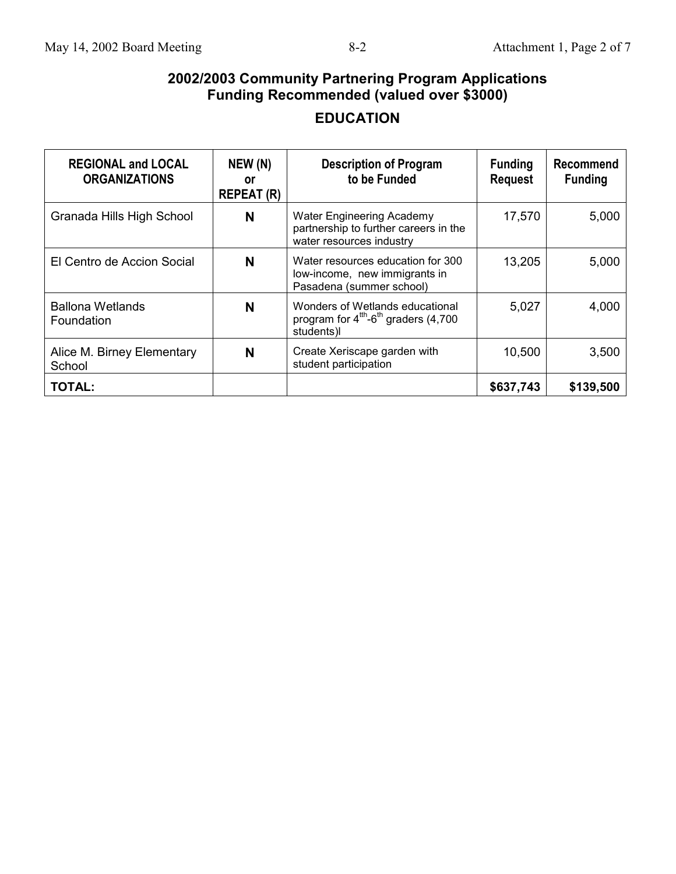# **EDUCATION**

| <b>REGIONAL and LOCAL</b><br><b>ORGANIZATIONS</b> | NEW (N)<br>or<br><b>REPEAT (R)</b> | <b>Description of Program</b><br>to be Funded                                                         | <b>Funding</b><br><b>Request</b> | Recommend<br><b>Funding</b> |
|---------------------------------------------------|------------------------------------|-------------------------------------------------------------------------------------------------------|----------------------------------|-----------------------------|
| Granada Hills High School                         | N                                  | <b>Water Engineering Academy</b><br>partnership to further careers in the<br>water resources industry | 17,570                           | 5,000                       |
| El Centro de Accion Social                        | N                                  | Water resources education for 300<br>low-income, new immigrants in<br>Pasadena (summer school)        | 13,205                           | 5,000                       |
| <b>Ballona Wetlands</b><br>Foundation             | N                                  | Wonders of Wetlands educational<br>program for $4th$ -6 <sup>th</sup> graders (4,700)<br>students)l   | 5,027                            | 4,000                       |
| Alice M. Birney Elementary<br>School              | N                                  | Create Xeriscape garden with<br>student participation                                                 | 10,500                           | 3,500                       |
| <b>TOTAL:</b>                                     |                                    |                                                                                                       | \$637,743                        | \$139,500                   |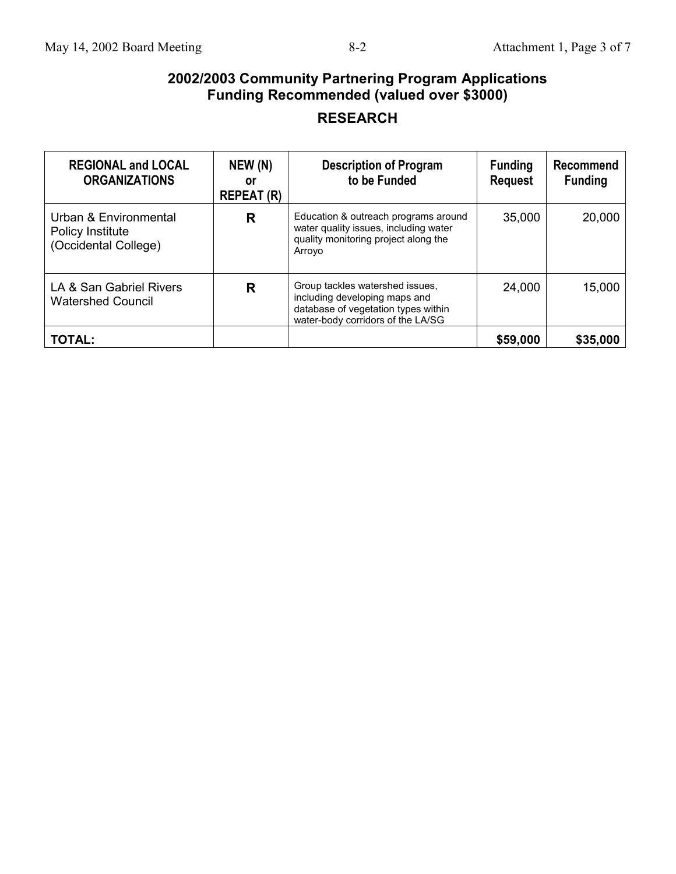## **RESEARCH**

| <b>REGIONAL and LOCAL</b><br><b>ORGANIZATIONS</b>                 | NEW (N)<br>or<br><b>REPEAT (R)</b> | <b>Description of Program</b><br>to be Funded                                                                                                | <b>Funding</b><br><b>Request</b> | Recommend<br><b>Funding</b> |
|-------------------------------------------------------------------|------------------------------------|----------------------------------------------------------------------------------------------------------------------------------------------|----------------------------------|-----------------------------|
| Urban & Environmental<br>Policy Institute<br>(Occidental College) | R                                  | Education & outreach programs around<br>water quality issues, including water<br>quality monitoring project along the<br>Arroyo              | 35,000                           | 20,000                      |
| LA & San Gabriel Rivers<br><b>Watershed Council</b>               | R                                  | Group tackles watershed issues,<br>including developing maps and<br>database of vegetation types within<br>water-body corridors of the LA/SG | 24,000                           | 15,000                      |
| <b>TOTAL:</b>                                                     |                                    |                                                                                                                                              | \$59,000                         | \$35,000                    |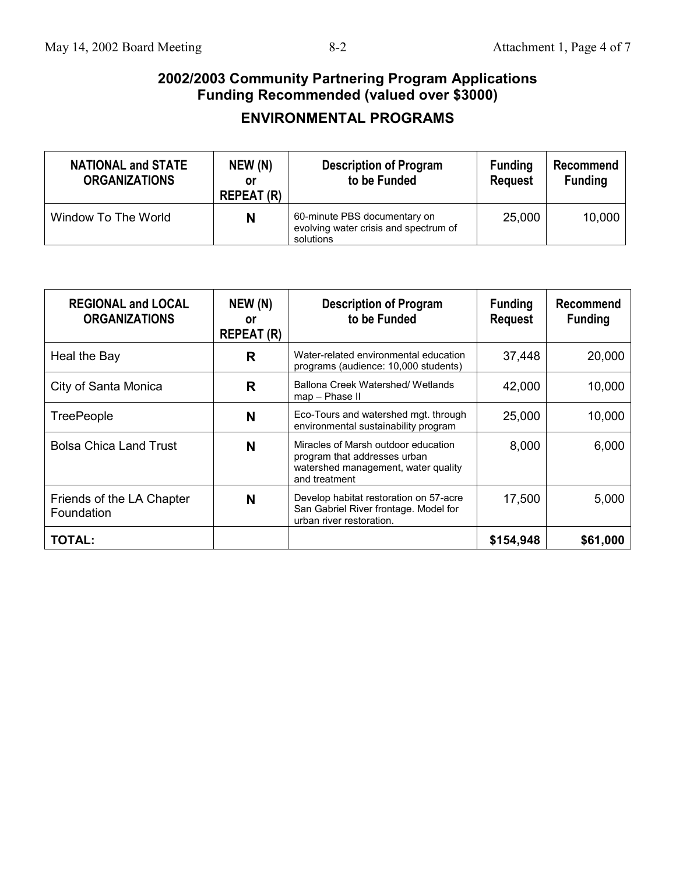## **ENVIRONMENTAL PROGRAMS**

| <b>NATIONAL and STATE</b><br><b>ORGANIZATIONS</b> | NEW (N)<br>or<br><b>REPEAT (R)</b> | <b>Description of Program</b><br>to be Funded                                      | <b>Funding</b><br><b>Request</b> | Recommend<br><b>Funding</b> |
|---------------------------------------------------|------------------------------------|------------------------------------------------------------------------------------|----------------------------------|-----------------------------|
| Window To The World                               | N                                  | 60-minute PBS documentary on<br>evolving water crisis and spectrum of<br>solutions | 25,000                           | 10,000                      |

| <b>REGIONAL and LOCAL</b><br><b>ORGANIZATIONS</b> | NEW (N)<br>or<br><b>REPEAT (R)</b> | <b>Description of Program</b><br>to be Funded                                                                               | <b>Funding</b><br><b>Request</b> | Recommend<br><b>Funding</b> |
|---------------------------------------------------|------------------------------------|-----------------------------------------------------------------------------------------------------------------------------|----------------------------------|-----------------------------|
| Heal the Bay                                      | R                                  | Water-related environmental education<br>programs (audience: 10,000 students)                                               | 37,448                           | 20,000                      |
| City of Santa Monica                              | R                                  | Ballona Creek Watershed/ Wetlands<br>map - Phase II                                                                         | 42,000                           | 10,000                      |
| <b>TreePeople</b>                                 | N                                  | Eco-Tours and watershed mgt. through<br>environmental sustainability program                                                | 25,000                           | 10,000                      |
| <b>Bolsa Chica Land Trust</b>                     | N                                  | Miracles of Marsh outdoor education<br>program that addresses urban<br>watershed management, water quality<br>and treatment | 8,000                            | 6,000                       |
| Friends of the LA Chapter<br>Foundation           | N                                  | Develop habitat restoration on 57-acre<br>San Gabriel River frontage. Model for<br>urban river restoration.                 | 17,500                           | 5,000                       |
| <b>TOTAL:</b>                                     |                                    |                                                                                                                             | \$154,948                        | \$61,000                    |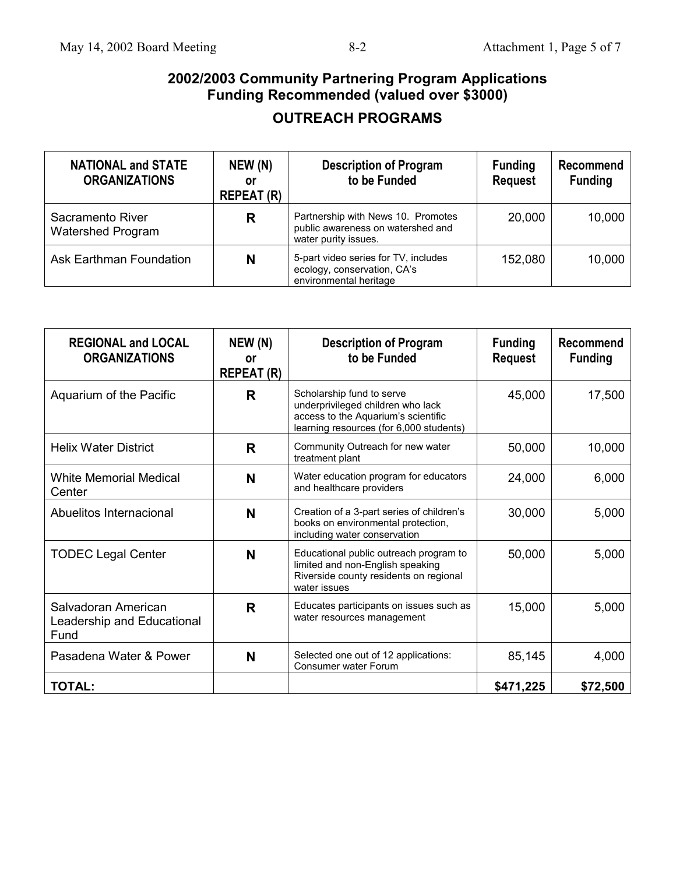### **OUTREACH PROGRAMS**

| <b>NATIONAL and STATE</b><br><b>ORGANIZATIONS</b> | NEW (N)<br>or<br><b>REPEAT (R)</b> | <b>Description of Program</b><br>to be Funded                                                   | <b>Funding</b><br><b>Request</b> | Recommend<br><b>Funding</b> |
|---------------------------------------------------|------------------------------------|-------------------------------------------------------------------------------------------------|----------------------------------|-----------------------------|
| Sacramento River<br><b>Watershed Program</b>      | R                                  | Partnership with News 10. Promotes<br>public awareness on watershed and<br>water purity issues. | 20,000                           | 10,000                      |
| Ask Earthman Foundation                           | N                                  | 5-part video series for TV, includes<br>ecology, conservation, CA's<br>environmental heritage   | 152,080                          | 10,000                      |

| <b>REGIONAL and LOCAL</b><br><b>ORGANIZATIONS</b>         | NEW (N)<br>0ľ<br><b>REPEAT (R)</b> | <b>Description of Program</b><br>to be Funded                                                                                                    | <b>Funding</b><br><b>Request</b> | Recommend<br><b>Funding</b> |
|-----------------------------------------------------------|------------------------------------|--------------------------------------------------------------------------------------------------------------------------------------------------|----------------------------------|-----------------------------|
| Aquarium of the Pacific                                   | R                                  | Scholarship fund to serve<br>underprivileged children who lack<br>access to the Aquarium's scientific<br>learning resources (for 6,000 students) | 45,000                           | 17,500                      |
| <b>Helix Water District</b>                               | R                                  | Community Outreach for new water<br>treatment plant                                                                                              | 50,000                           | 10,000                      |
| <b>White Memorial Medical</b><br>Center                   | N                                  | Water education program for educators<br>and healthcare providers                                                                                | 24,000                           | 6,000                       |
| Abuelitos Internacional                                   | N                                  | Creation of a 3-part series of children's<br>books on environmental protection,<br>including water conservation                                  | 30,000                           | 5,000                       |
| <b>TODEC Legal Center</b>                                 | N                                  | Educational public outreach program to<br>limited and non-English speaking<br>Riverside county residents on regional<br>water issues             | 50,000                           | 5,000                       |
| Salvadoran American<br>Leadership and Educational<br>Fund | R                                  | Educates participants on issues such as<br>water resources management                                                                            | 15,000                           | 5,000                       |
| Pasadena Water & Power                                    | N                                  | Selected one out of 12 applications:<br>Consumer water Forum                                                                                     | 85,145                           | 4,000                       |
| <b>TOTAL:</b>                                             |                                    |                                                                                                                                                  | \$471,225                        | \$72,500                    |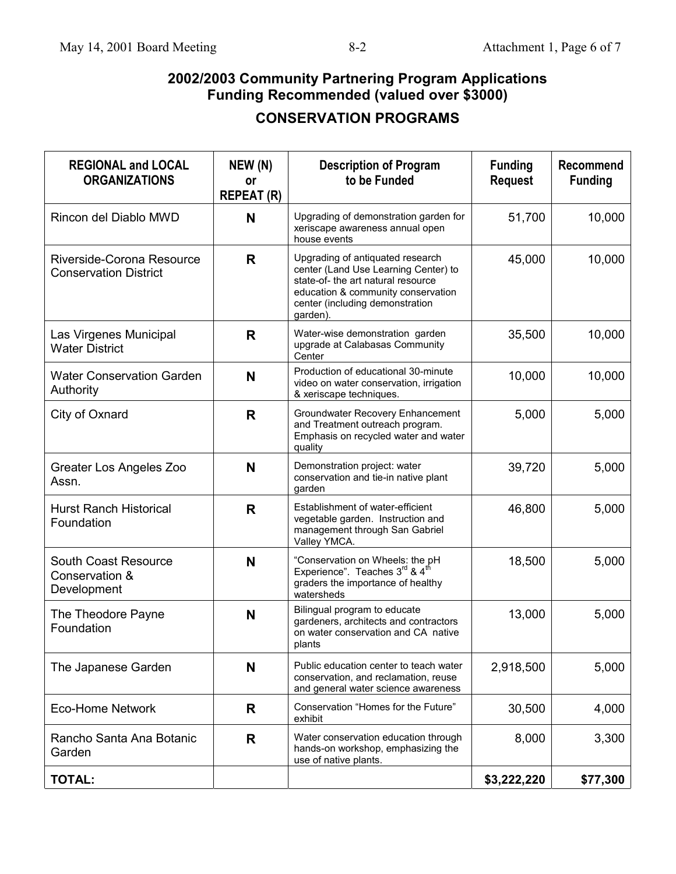|  |  | <b>CONSERVATION PROGRAMS</b> |
|--|--|------------------------------|
|--|--|------------------------------|

| <b>REGIONAL and LOCAL</b><br><b>ORGANIZATIONS</b>         | NEW (N)<br>٥r<br><b>REPEAT (R)</b> | <b>Description of Program</b><br>to be Funded                                                                                                                                                       | <b>Funding</b><br><b>Request</b> | <b>Recommend</b><br><b>Funding</b> |
|-----------------------------------------------------------|------------------------------------|-----------------------------------------------------------------------------------------------------------------------------------------------------------------------------------------------------|----------------------------------|------------------------------------|
| Rincon del Diablo MWD                                     | N                                  | Upgrading of demonstration garden for<br>xeriscape awareness annual open<br>house events                                                                                                            | 51,700                           | 10,000                             |
| Riverside-Corona Resource<br><b>Conservation District</b> | R                                  | Upgrading of antiquated research<br>center (Land Use Learning Center) to<br>state-of- the art natural resource<br>education & community conservation<br>center (including demonstration<br>garden). | 45,000                           | 10,000                             |
| Las Virgenes Municipal<br><b>Water District</b>           | R                                  | Water-wise demonstration garden<br>upgrade at Calabasas Community<br>Center                                                                                                                         | 35,500                           | 10,000                             |
| <b>Water Conservation Garden</b><br>Authority             | N                                  | Production of educational 30-minute<br>video on water conservation, irrigation<br>& xeriscape techniques.                                                                                           | 10,000                           | 10,000                             |
| City of Oxnard                                            | R                                  | Groundwater Recovery Enhancement<br>and Treatment outreach program.<br>Emphasis on recycled water and water<br>quality                                                                              | 5,000                            | 5,000                              |
| Greater Los Angeles Zoo<br>Assn.                          | N                                  | Demonstration project: water<br>conservation and tie-in native plant<br>garden                                                                                                                      | 39,720                           | 5,000                              |
| <b>Hurst Ranch Historical</b><br>Foundation               | R                                  | Establishment of water-efficient<br>vegetable garden. Instruction and<br>management through San Gabriel<br>Valley YMCA.                                                                             | 46,800                           | 5,000                              |
| South Coast Resource<br>Conservation &<br>Development     | N                                  | "Conservation on Wheels: the pH<br>Experience". Teaches 3rd & 4th<br>graders the importance of healthy<br>watersheds                                                                                | 18,500                           | 5,000                              |
| The Theodore Payne<br>Foundation                          | N                                  | Bilingual program to educate<br>gardeners, architects and contractors<br>on water conservation and CA native<br>plants                                                                              | 13,000                           | 5,000                              |
| The Japanese Garden                                       | N                                  | Public education center to teach water<br>conservation, and reclamation, reuse<br>and general water science awareness                                                                               | 2,918,500                        | 5,000                              |
| <b>Eco-Home Network</b>                                   | R                                  | Conservation "Homes for the Future"<br>exhibit                                                                                                                                                      | 30,500                           | 4,000                              |
| Rancho Santa Ana Botanic<br>Garden                        | R                                  | Water conservation education through<br>hands-on workshop, emphasizing the<br>use of native plants.                                                                                                 | 8,000                            | 3,300                              |
| <b>TOTAL:</b>                                             |                                    |                                                                                                                                                                                                     | \$3,222,220                      | \$77,300                           |